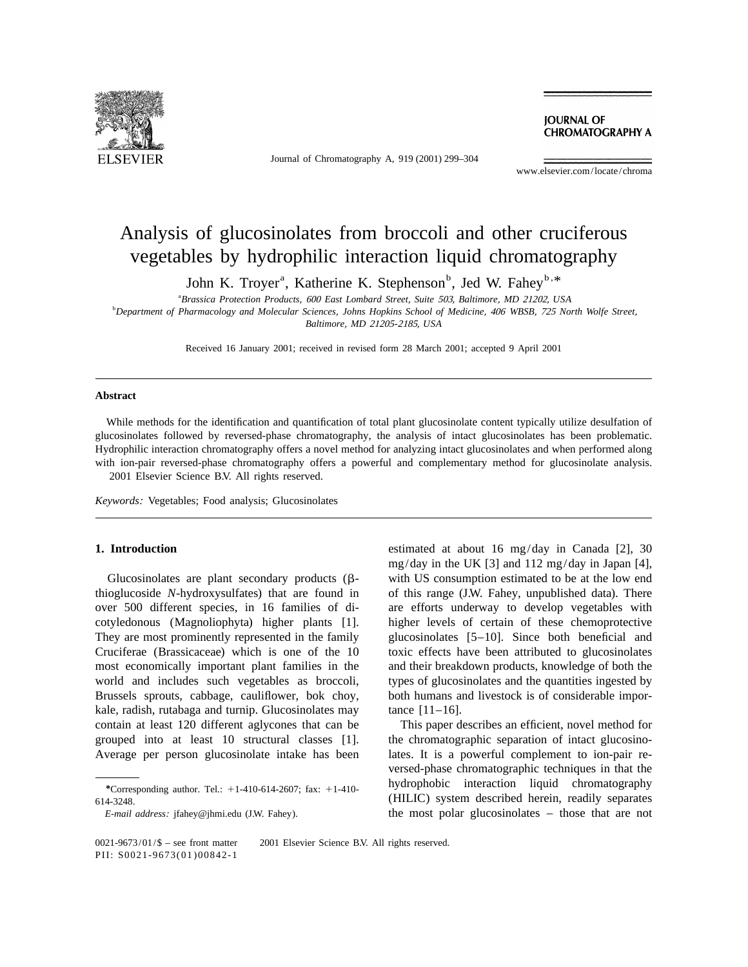

Journal of Chromatography A, 919 (2001) 299–304

**JOURNAL OF CHROMATOGRAPHY A** 

www.elsevier.com/locate/chroma

# Analysis of glucosinolates from broccoli and other cruciferous vegetables by hydrophilic interaction liquid chromatography

John K. Troyer<sup>a</sup>, Katherine K. Stephenson<sup>b</sup>, Jed W. Fahey<sup>b, \*</sup>

a *Brassica Protection Products*, <sup>600</sup> *East Lombard Street*, *Suite* 503, *Baltimore*, *MD* 21202, *USA*

b *Department of Pharmacology and Molecular Sciences*, *Johns Hopkins School of Medicine*, <sup>406</sup> *WBSB*, <sup>725</sup> *North Wolfe Street*,

*Baltimore*, *MD* <sup>21205</sup>-2185, *USA*

Received 16 January 2001; received in revised form 28 March 2001; accepted 9 April 2001

### **Abstract**

While methods for the identification and quantification of total plant glucosinolate content typically utilize desulfation of glucosinolates followed by reversed-phase chromatography, the analysis of intact glucosinolates has been problematic. Hydrophilic interaction chromatography offers a novel method for analyzing intact glucosinolates and when performed along with ion-pair reversed-phase chromatography offers a powerful and complementary method for glucosinolate analysis. 2001 Elsevier Science B.V. All rights reserved.

*Keywords*: Vegetables; Food analysis; Glucosinolates

thioglucoside *N*-hydroxysulfates) that are found in of this range (J.W. Fahey, unpublished data). There over 500 different species, in 16 families of di- are efforts underway to develop vegetables with cotyledonous (Magnoliophyta) higher plants [1]. higher levels of certain of these chemoprotective They are most prominently represented in the family glucosinolates [5–10]. Since both beneficial and Cruciferae (Brassicaceae) which is one of the 10 toxic effects have been attributed to glucosinolates most economically important plant families in the and their breakdown products, knowledge of both the world and includes such vegetables as broccoli, types of glucosinolates and the quantities ingested by Brussels sprouts, cabbage, cauliflower, bok choy, both humans and livestock is of considerable imporkale, radish, rutabaga and turnip. Glucosinolates may tance [11-16]. contain at least 120 different aglycones that can be This paper describes an efficient, novel method for grouped into at least 10 structural classes [1]. the chromatographic separation of intact glucosino-

**1. Introduction** estimated at about 16 mg/day in Canada [2], 30 mg/day in the UK [3] and 112 mg/day in Japan [4], Glucosinolates are plant secondary products  $(\beta$ - with US consumption estimated to be at the low end

Average per person glucosinolate intake has been lates. It is a powerful complement to ion-pair reversed-phase chromatographic techniques in that the *\**Corresponding author. Tel.: +1-410-614-2607; fax: +1-410-**hydrophobic** interaction liquid chromatography 614-3248. (HILIC) system described herein, readily separates *E-mail address:* jfahey@jhmi.edu (J.W. Fahey). the most polar glucosinolates – those that are not

0021-9673/01/\$ – see front matter © 2001 Elsevier Science B.V. All rights reserved. PII: S0021-9673(01)00842-1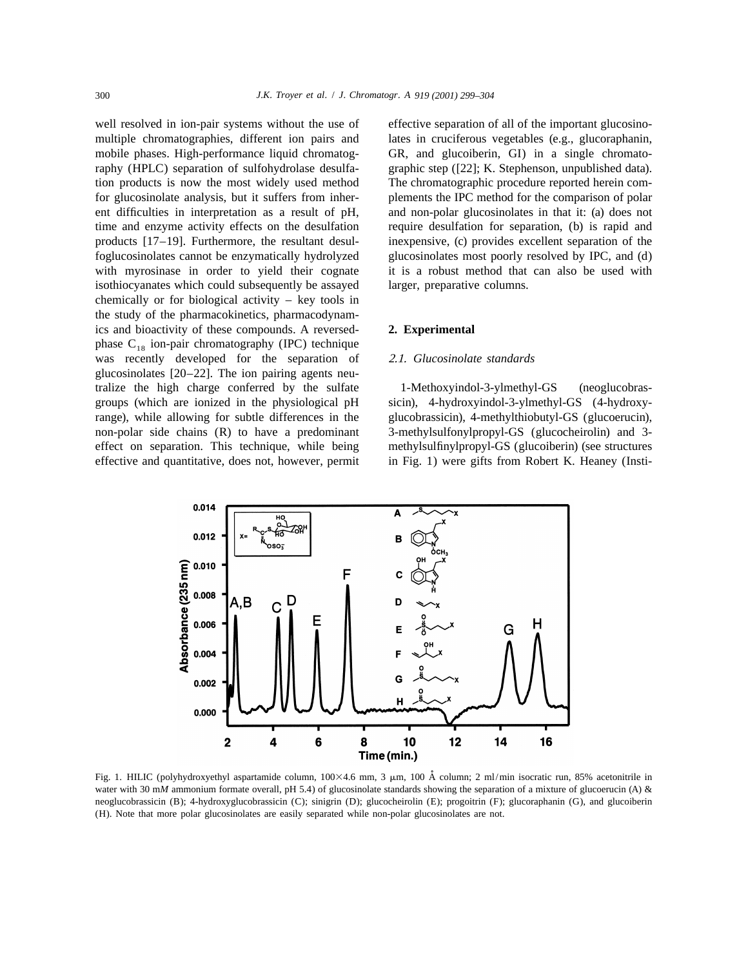well resolved in ion-pair systems without the use of effective separation of all of the important glucosinomultiple chromatographies, different ion pairs and lates in cruciferous vegetables (e.g., glucoraphanin, mobile phases. High-performance liquid chromatog- GR, and glucoiberin, GI) in a single chromatoraphy (HPLC) separation of sulfohydrolase desulfa- graphic step ([22]; K. Stephenson, unpublished data). tion products is now the most widely used method The chromatographic procedure reported herein comfor glucosinolate analysis, but it suffers from inher- plements the IPC method for the comparison of polar ent difficulties in interpretation as a result of pH, and non-polar glucosinolates in that it: (a) does not time and enzyme activity effects on the desulfation require desulfation for separation, (b) is rapid and products [17–19]. Furthermore, the resultant desul- inexpensive, (c) provides excellent separation of the foglucosinolates cannot be enzymatically hydrolyzed glucosinolates most poorly resolved by IPC, and (d) with myrosinase in order to yield their cognate it is a robust method that can also be used with isothiocyanates which could subsequently be assayed larger, preparative columns. chemically or for biological activity – key tools in the study of the pharmacokinetics, pharmacodynamics and bioactivity of these compounds. A reversed- **2. Experimental** phase  $C_{18}$  ion-pair chromatography (IPC) technique was recently developed for the separation of 2.1. *Glucosinolate standards* glucosinolates [20–22]. The ion pairing agents neutralize the high charge conferred by the sulfate 1-Methoxyindol-3-ylmethyl-GS (neoglucobrasgroups (which are ionized in the physiological pH sicin), 4-hydroxyindol-3-ylmethyl-GS (4-hydroxyrange), while allowing for subtle differences in the glucobrassicin), 4-methylthiobutyl-GS (glucoerucin), non-polar side chains (R) to have a predominant 3-methylsulfonylpropyl-GS (glucocheirolin) and 3effect on separation. This technique, while being methylsulfinylpropyl-GS (glucoiberin) (see structures effective and quantitative, does not, however, permit in Fig. 1) were gifts from Robert K. Heaney (Insti-



Fig. 1. HILIC (polyhydroxyethyl aspartamide column, 100×4.6 mm, 3  $\mu$ m, 100 Å column; 2 ml/min isocratic run, 85% acetonitrile in water with 30 m*M* ammonium formate overall, pH 5.4) of glucosinolate standards showing the separation of a mixture of glucoerucin (A) & neoglucobrassicin (B); 4-hydroxyglucobrassicin (C); sinigrin (D); glucocheirolin (E); progoitrin (F); glucoraphanin (G), and glucoiberin (H). Note that more polar glucosinolates are easily separated while non-polar glucosinolates are not.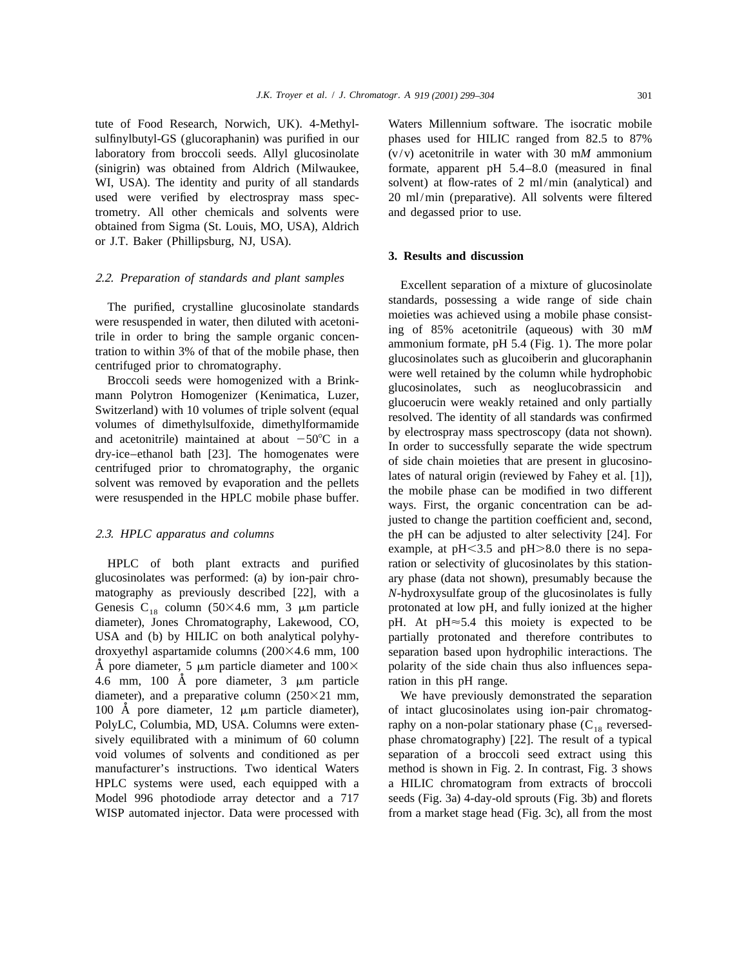tute of Food Research, Norwich, UK). 4-Methyl- Waters Millennium software. The isocratic mobile sulfinylbutyl-GS (glucoraphanin) was purified in our phases used for HILIC ranged from 82.5 to 87% laboratory from broccoli seeds. Allyl glucosinolate (v/v) acetonitrile in water with 30 m*M* ammonium (sinigrin) was obtained from Aldrich (Milwaukee, formate, apparent pH 5.4–8.0 (measured in final WI, USA). The identity and purity of all standards solvent) at flow-rates of 2 ml/min (analytical) and used were verified by electrospray mass spec- 20 ml/min (preparative). All solvents were filtered trometry. All other chemicals and solvents were and degassed prior to use. obtained from Sigma (St. Louis, MO, USA), Aldrich or J.T. Baker (Phillipsburg, NJ, USA).

glucosinolates was performed: (a) by ion-pair chro- ary phase (data not shown), presumably because the matography as previously described [22], with a *N*-hydroxysulfate group of the glucosinolates is fully Genesis C<sub>18</sub> column (50×4.6 mm, 3  $\mu$ m particle protonated at low pH, and fully ionized at the higher diameter), Jones Chromatography, Lakewood, CO, pH. At pH $\approx$  5.4 this moiety is expected to be USA and (b) by HILIC on both analytical polyhy- partially protonated and therefore contributes to droxyethyl aspartamide columns (200×4.6 mm, 100 separation based upon hydrophilic interactions. The A pore diameter, 5  $\mu$ m particle diameter and 100 $\times$  polarity of the side chain thus also influences sepa-4.6 mm, 100  $\AA$  pore diameter,  $3 \mu m$  particle ration in this pH range. diameter), and a preparative column  $(250\times21 \text{ mm})$ . We have previously demonstrated the separation 100 Å pore diameter, 12 μm particle diameter), of intact glucosinolates using ion-pair chromatog-PolyLC, Columbia, MD, USA. Columns were exten-<br>sively equilibrated with a minimum of 60 column phase chromatography [22]. The result of a typical void volumes of solvents and conditioned as per separation of a broccoli seed extract using this manufacturer's instructions. Two identical Waters method is shown in Fig. 2. In contrast, Fig. 3 shows HPLC systems were used, each equipped with a a HILIC chromatogram from extracts of broccoli Model 996 photodiode array detector and a 717 seeds (Fig. 3a) 4-day-old sprouts (Fig. 3b) and florets WISP automated injector. Data were processed with from a market stage head (Fig. 3c), all from the most

## **3. Results and discussion**

2.2. *Preparation of standards and plant samples* Excellent separation of a mixture of glucosinolate The purified, crystalline glucosinolate standards<br>were resuspended in water, then diluted with acetoni-<br>were resuspended in water, then diluted with acetoni-<br>trile in order to bring the sample organic concentrile (aqueous) justed to change the partition coefficient and, second, 2.3. *HPLC apparatus and columns* the pH can be adjusted to alter selectivity [24]. For example, at  $pH < 3.5$  and  $pH > 8.0$  there is no sepa-HPLC of both plant extracts and purified ration or selectivity of glucosinolates by this station-

phase chromatography) [22]. The result of a typical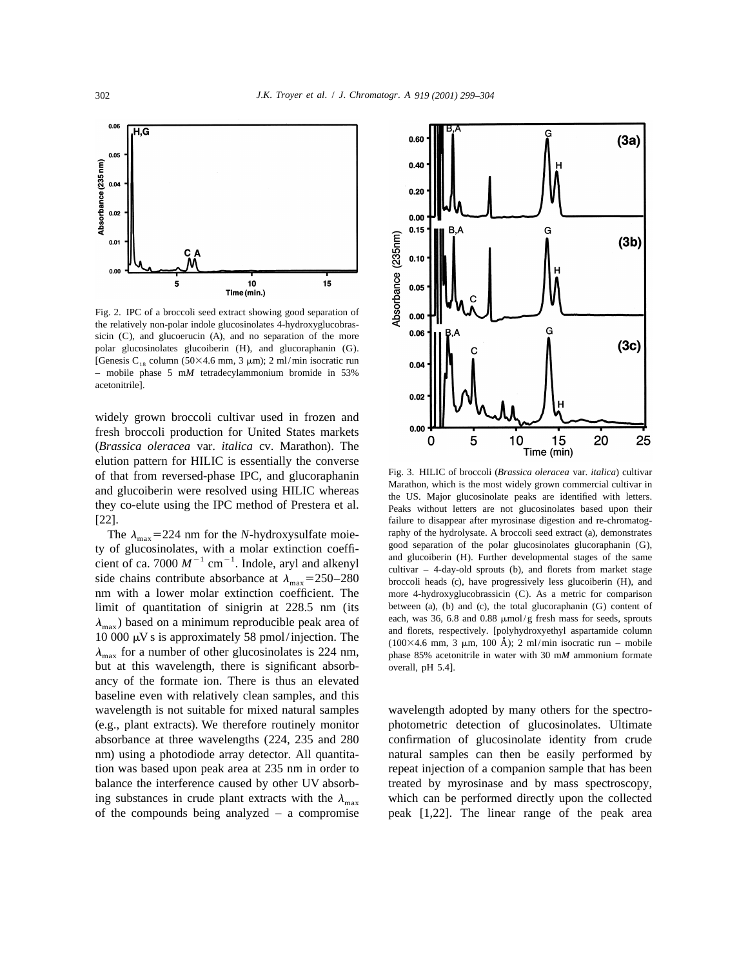

Fig. 2. IPC of a broccoli seed extract showing good separation of the relatively non-polar indole glucosinolates 4-hydroxyglucobrassicin (C), and glucoerucin (A), and no separation of the more polar glucosinolates glucoiberin (H), and glucoraphanin (G). [Genesis C<sub>18</sub> column (50×4.6 mm, 3  $\mu$ m); 2 ml/min isocratic run – mobile phase 5 m*M* tetradecylammonium bromide in 53% acetonitrile].

widely grown broccoli cultivar used in frozen and fresh broccoli production for United States markets (*Brassica oleracea* var. *italica* cv. Marathon). The elution pattern for HILIC is essentially the converse of that from reversed-phase IPC, and glucoraphanin Fig. 3. HILIC of broccoli (Brassica oleracea var. italica) cultivar<br>and glucoiberin were resolved using HILIC whereas<br>they co-elute using the IPC method of Prestera et al. [22]. failure to disappear after myrosinase digestion and re-chromatog-

nm with a lower molar extinction coefficient. The more 4-hydroxyglucobrassicin (C). As a metric for comparison limit of quantitation of sinigrin at 228.5 nm (its between (a), (b) and (c), the total glucoraphanin (G) content of  $\lambda$  based on a minimum reproducible peak area of each, was 36, 6.8 and 0.88  $\mu$ mol/g fresh mass for see  $\lambda_{\text{max}}$ ) based on a minimum reproducible peak area of<br>10 000  $\mu$ V s is approximately 58 pmol/injection. The<br> $\lambda_{\text{max}}$  for a number of other glucosinolates is 224 nm,<br> $\lambda_{\text{max}}$  s and florets, respectively. [polyhydro but at this wavelength, there is significant absorb- overall, pH 5.4]. ancy of the formate ion. There is thus an elevated baseline even with relatively clean samples, and this wavelength is not suitable for mixed natural samples wavelength adopted by many others for the spectro-(e.g., plant extracts). We therefore routinely monitor photometric detection of glucosinolates. Ultimate absorbance at three wavelengths (224, 235 and 280 confirmation of glucosinolate identity from crude nm) using a photodiode array detector. All quantita- natural samples can then be easily performed by tion was based upon peak area at 235 nm in order to repeat injection of a companion sample that has been balance the interference caused by other UV absorb- treated by myrosinase and by mass spectroscopy, ing substances in crude plant extracts with the  $\lambda_{\text{max}}$  which can be performed directly upon the collected of the compounds being analyzed – a compromise peak [1,22]. The linear range of the peak area



The  $\lambda_{\text{max}} = 224$  nm for the N-hydroxysulfate moie-<br>ty of glucosinolates, with a molar extinction coeffi-<br>cient of ca. 7000  $M^{-1}$  cm<sup>-1</sup>. Indole, aryl and alkenyl<br>side chains contribute absorbance at  $\lambda_{\text{max}} = 250-280$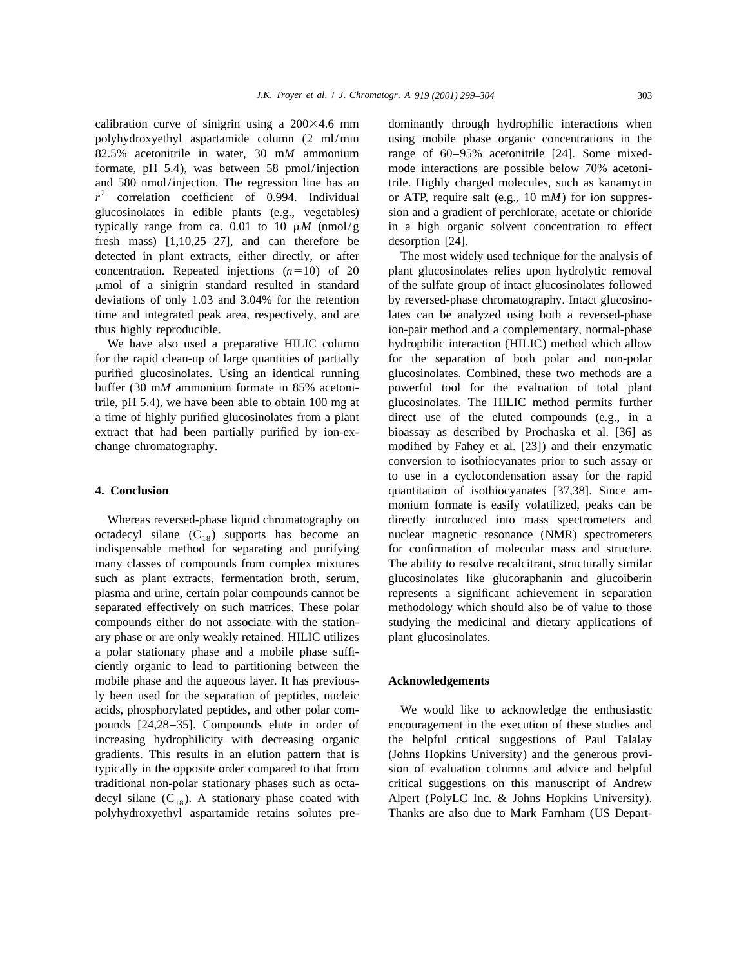polyhydroxyethyl aspartamide column (2 ml/min using mobile phase organic concentrations in the 82.5% acetonitrile in water, 30 m*M* ammonium range of 60–95% acetonitrile [24]. Some mixedformate, pH 5.4), was between 58 pmol/injection mode interactions are possible below 70% acetoniand 580 nmol/injection. The regression line has an trile. Highly charged molecules, such as kanamycin  $r^2$  correlation coefficient of 0.994. Individual glucosinolates in edible plants (e.g., vegetables) sion and a gradient of perchlorate, acetate or chloride typically range from ca. 0.01 to 10  $\mu$ *M* (nmol/g in a high organic solvent concentration to effect fresh mass) [1,10,25–27], and can therefore be desorption [24]. detected in plant extracts, either directly, or after The most widely used technique for the analysis of concentration. Repeated injections  $(n=10)$  of 20 plant glucosinolates relies upon hydrolytic removal mmol of a sinigrin standard resulted in standard of the sulfate group of intact glucosinolates followed deviations of only 1.03 and 3.04% for the retention by reversed-phase chromatography. Intact glucosinotime and integrated peak area, respectively, and are lates can be analyzed using both a reversed-phase thus highly reproducible. ion-pair method and a complementary, normal-phase

for the rapid clean-up of large quantities of partially for the separation of both polar and non-polar purified glucosinolates. Using an identical running glucosinolates. Combined, these two methods are a buffer (30 m*M* ammonium formate in 85% acetoni- powerful tool for the evaluation of total plant trile, pH 5.4), we have been able to obtain 100 mg at glucosinolates. The HILIC method permits further a time of highly purified glucosinolates from a plant direct use of the eluted compounds (e.g., in a extract that had been partially purified by ion-ex- bioassay as described by Prochaska et al. [36] as change chromatography. modified by Fahey et al. [23]) and their enzymatic

octadecyl silane  $(C_{18})$  supports has become an unclear magnetic resonance (NMR) spectrometers indispensable method for separating and purifying for confirmation of molecular mass and structure. indispensable method for separating and purifying many classes of compounds from complex mixtures The ability to resolve recalcitrant, structurally similar such as plant extracts, fermentation broth, serum, glucosinolates like glucoraphanin and glucoiberin plasma and urine, certain polar compounds cannot be represents a significant achievement in separation separated effectively on such matrices. These polar methodology which should also be of value to those compounds either do not associate with the station- studying the medicinal and dietary applications of ary phase or are only weakly retained. HILIC utilizes plant glucosinolates. a polar stationary phase and a mobile phase sufficiently organic to lead to partitioning between the mobile phase and the aqueous layer. It has previous- **Acknowledgements** ly been used for the separation of peptides, nucleic acids, phosphorylated peptides, and other polar com- We would like to acknowledge the enthusiastic pounds [24,28–35]. Compounds elute in order of encouragement in the execution of these studies and increasing hydrophilicity with decreasing organic the helpful critical suggestions of Paul Talalay gradients. This results in an elution pattern that is (Johns Hopkins University) and the generous provitypically in the opposite order compared to that from sion of evaluation columns and advice and helpful traditional non-polar stationary phases such as octa- critical suggestions on this manuscript of Andrew decyl silane  $(C_{18})$ . A stationary phase coated with Alpert (PolyLC Inc. & Johns Hopkins University).<br>
18 polyhydroxyethyl aspartamide retains solutes pre-<br>
18 Thanks are also due to Mark Farnham (US Departpolyhydroxyethyl aspartamide retains solutes pre-

calibration curve of sinigrin using a  $200\times4.6$  mm dominantly through hydrophilic interactions when or ATP, require salt (e.g.,  $10 \text{ m}$ *M*) for ion suppres-

We have also used a preparative HILIC column hydrophilic interaction (HILIC) method which allow conversion to isothiocyanates prior to such assay or to use in a cyclocondensation assay for the rapid **4. Conclusion** quantitation of isothiocyanates [37,38]. Since ammonium formate is easily volatilized, peaks can be Whereas reversed-phase liquid chromatography on directly introduced into mass spectrometers and